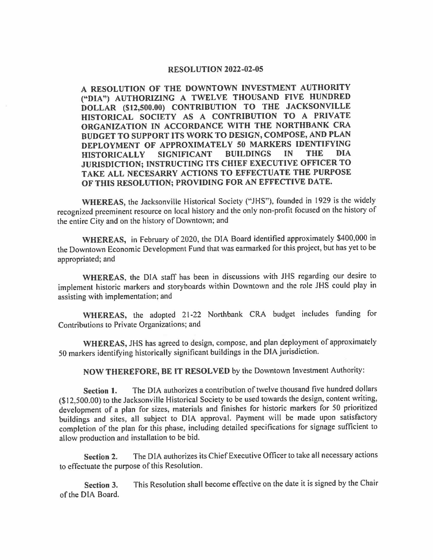## **RESOLUTION 2022-02-05**

**A RESOLUTION OF THE DOWNTOWN INVESTMENT AUTHORITY ("DIA") AUTHORIZING A TWELVE THOUSAND FIVE HUNDRED DOLLAR (\$12,500.00) CONTRIBUTION TO THE JACKSONVILLE HISTORICAL SOCIETY AS A CONTRIBUTION TO A PRIVATE ORGANIZATION IN ACCORDANCE WITH THE NORTHBANK CRA BUDGET TO SUPPORT ITS WORK TO DESIGN, COMPOSE, AND PLAN DEPLOYMENT OF APPROXIMATELY 50 MARKERS IDENTIFYING HISTORICALLY SIGNIFICANT BUILDINGS JURISDICTION; INSTRUCTING ITS CHIEF EXECUTIVE OFFICER TO TAKE ALL NECESARRY ACTIONS TO EFFECTUATE THE PURPOSE OF THIS RESOLUTION; PROVIDING FOR AN EFFECTIVE DATE.** 

**WHEREAS,** the Jacksonville Historical Society ("JHS"), founded in 1929 is the widely recognized preeminent resource on local history and the only non-profit focused on the history of the entire City and on the history of Downtown; and

**WHEREAS,** in February of 2020, the DIA Board identified approximately \$400,000 in the Downtown Economic Development Fund that was earmarked for this project, but has yet to be appropriated; and

**WHEREAS,** the DIA staff has been in discussions with JHS regarding our desire to implement historic markers and storyboards within Downtown and the role JHS could play in assisting with implementation; and

**WHEREAS,** the adopted 21-22 Northbank CRA budget includes funding for Contributions to Private Organizations; and

**WHEREAS,** JHS has agreed to design, compose, and plan deployment of approximately 50 markers identifying historically significant buildings in the DIA jurisdiction.

**NOW THEREFORE, BE IT RESOLVED** by the Downtown Investment Authority:

**Section 1.** The DIA authorizes a contribution of twelve thousand five hundred dollars (\$12,500.00) to the Jacksonville Historical Society to be used towards the design, content writing, development of a plan for sizes, materials and finishes for historic markers for 50 prioritized buildings and sites, all subject to DIA approval. Payment will be made upon satisfactory completion of the plan for this phase, including detailed specifications for signage sufficient to allow production and installation to be bid.

**Section 2.** The DIA authorizes its Chief Executive Officer to take all necessary actions to effectuate the purpose of this Resolution.

**Section 3.** This Resolution shall become effective on the date it is signed by the Chair of the DIA Board.